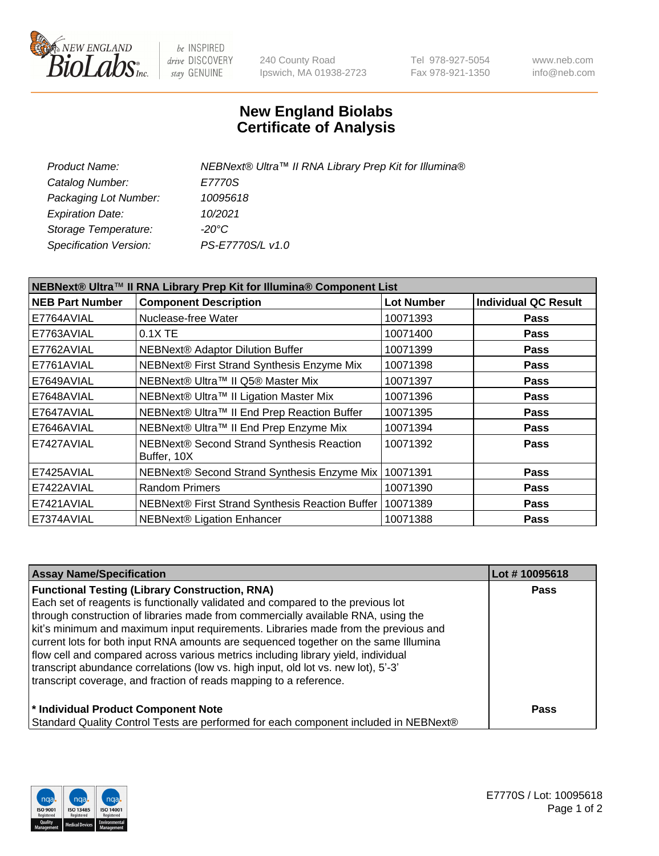

be INSPIRED drive DISCOVERY stay GENUINE

240 County Road Ipswich, MA 01938-2723 Tel 978-927-5054 Fax 978-921-1350 www.neb.com info@neb.com

## **New England Biolabs Certificate of Analysis**

| NEBNext® Ultra™ II RNA Library Prep Kit for Illumina® |
|-------------------------------------------------------|
| E7770S                                                |
| 10095618                                              |
| 10/2021                                               |
| -20°C                                                 |
| PS-E7770S/L v1.0                                      |
|                                                       |

| NEBNext® Ultra™ II RNA Library Prep Kit for Illumina® Component List |                                                          |                   |                             |  |
|----------------------------------------------------------------------|----------------------------------------------------------|-------------------|-----------------------------|--|
| <b>NEB Part Number</b>                                               | <b>Component Description</b>                             | <b>Lot Number</b> | <b>Individual QC Result</b> |  |
| E7764AVIAL                                                           | Nuclease-free Water                                      | 10071393          | <b>Pass</b>                 |  |
| E7763AVIAL                                                           | $0.1X$ TE                                                | 10071400          | <b>Pass</b>                 |  |
| E7762AVIAL                                                           | <b>NEBNext® Adaptor Dilution Buffer</b>                  | 10071399          | <b>Pass</b>                 |  |
| E7761AVIAL                                                           | NEBNext® First Strand Synthesis Enzyme Mix               | 10071398          | <b>Pass</b>                 |  |
| E7649AVIAL                                                           | NEBNext® Ultra™ II Q5® Master Mix                        | 10071397          | <b>Pass</b>                 |  |
| E7648AVIAL                                                           | NEBNext® Ultra™ II Ligation Master Mix                   | 10071396          | <b>Pass</b>                 |  |
| E7647AVIAL                                                           | NEBNext® Ultra™ II End Prep Reaction Buffer              | 10071395          | <b>Pass</b>                 |  |
| E7646AVIAL                                                           | NEBNext® Ultra™ II End Prep Enzyme Mix                   | 10071394          | <b>Pass</b>                 |  |
| E7427AVIAL                                                           | NEBNext® Second Strand Synthesis Reaction<br>Buffer, 10X | 10071392          | <b>Pass</b>                 |  |
| E7425AVIAL                                                           | NEBNext® Second Strand Synthesis Enzyme Mix              | 10071391          | <b>Pass</b>                 |  |
| E7422AVIAL                                                           | <b>Random Primers</b>                                    | 10071390          | <b>Pass</b>                 |  |
| E7421AVIAL                                                           | NEBNext® First Strand Synthesis Reaction Buffer          | 10071389          | <b>Pass</b>                 |  |
| E7374AVIAL                                                           | <b>NEBNext® Ligation Enhancer</b>                        | 10071388          | <b>Pass</b>                 |  |

| <b>Assay Name/Specification</b>                                                      | Lot #10095618 |
|--------------------------------------------------------------------------------------|---------------|
| <b>Functional Testing (Library Construction, RNA)</b>                                | <b>Pass</b>   |
| Each set of reagents is functionally validated and compared to the previous lot      |               |
| through construction of libraries made from commercially available RNA, using the    |               |
| kit's minimum and maximum input requirements. Libraries made from the previous and   |               |
| current lots for both input RNA amounts are sequenced together on the same Illumina  |               |
| flow cell and compared across various metrics including library yield, individual    |               |
| transcript abundance correlations (low vs. high input, old lot vs. new lot), 5'-3'   |               |
| transcript coverage, and fraction of reads mapping to a reference.                   |               |
| * Individual Product Component Note                                                  | <b>Pass</b>   |
| Standard Quality Control Tests are performed for each component included in NEBNext® |               |